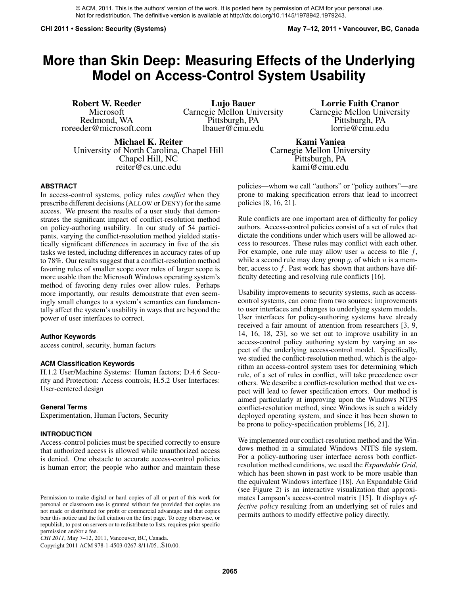# **More than Skin Deep: Measuring Effects of the Underlying Model on Access-Control System Usability**

Robert W. Reeder Microsoft Redmond, WA roreeder@microsoft.com

Lujo Bauer Carnegie Mellon University Pittsburgh, PA lbauer@cmu.edu

Michael K. Reiter University of North Carolina, Chapel Hill Chapel Hill, NC reiter@cs.unc.edu

Lorrie Faith Cranor Carnegie Mellon University Pittsburgh, PA lorrie@cmu.edu

Kami Vaniea Carnegie Mellon University Pittsburgh, PA kami@cmu.edu

# **ABSTRACT**

In access-control systems, policy rules *conflict* when they prescribe different decisions (ALLOW or DENY) for the same access. We present the results of a user study that demonstrates the significant impact of conflict-resolution method on policy-authoring usability. In our study of 54 participants, varying the conflict-resolution method yielded statistically significant differences in accuracy in five of the six tasks we tested, including differences in accuracy rates of up to 78%. Our results suggest that a conflict-resolution method favoring rules of smaller scope over rules of larger scope is more usable than the Microsoft Windows operating system's method of favoring deny rules over allow rules. Perhaps more importantly, our results demonstrate that even seemingly small changes to a system's semantics can fundamentally affect the system's usability in ways that are beyond the power of user interfaces to correct.

# **Author Keywords**

access control, security, human factors

# **ACM Classification Keywords**

H.1.2 User/Machine Systems: Human factors; D.4.6 Security and Protection: Access controls; H.5.2 User Interfaces: User-centered design

# **General Terms**

Experimentation, Human Factors, Security

# **INTRODUCTION**

Access-control policies must be specified correctly to ensure that authorized access is allowed while unauthorized access is denied. One obstacle to accurate access-control policies is human error; the people who author and maintain these

*CHI 2011*, May 7–12, 2011, Vancouver, BC, Canada.

Copyright 2011 ACM 978-1-4503-0267-8/11/05...\$10.00.

policies—whom we call "authors" or "policy authors"—are

prone to making specification errors that lead to incorrect policies [8, 16, 21].

Rule conflicts are one important area of difficulty for policy authors. Access-control policies consist of a set of rules that dictate the conditions under which users will be allowed access to resources. These rules may conflict with each other. For example, one rule may allow user  $u$  access to file  $f$ , while a second rule may deny group  $g$ , of which  $u$  is a member, access to  $f$ . Past work has shown that authors have difficulty detecting and resolving rule conflicts [16].

Usability improvements to security systems, such as accesscontrol systems, can come from two sources: improvements to user interfaces and changes to underlying system models. User interfaces for policy-authoring systems have already received a fair amount of attention from researchers [3, 9, 14, 16, 18, 23], so we set out to improve usability in an access-control policy authoring system by varying an aspect of the underlying access-control model. Specifically, we studied the conflict-resolution method, which is the algorithm an access-control system uses for determining which rule, of a set of rules in conflict, will take precedence over others. We describe a conflict-resolution method that we expect will lead to fewer specification errors. Our method is aimed particularly at improving upon the Windows NTFS conflict-resolution method, since Windows is such a widely deployed operating system, and since it has been shown to be prone to policy-specification problems [16, 21]. **2065** Search Control of the authors' version of the authors' version of the authors' version of the authors' version of the authors' version of the authors' version of the authors' version of the authors' version of the a

We implemented our conflict-resolution method and the Windows method in a simulated Windows NTFS file system. For a policy-authoring user interface across both conflictresolution method conditions, we used the *Expandable Grid*, which has been shown in past work to be more usable than the equivalent Windows interface [18]. An Expandable Grid (see Figure 2) is an interactive visualization that approximates Lampson's access-control matrix [15]. It displays *effective policy* resulting from an underlying set of rules and permits authors to modify effective policy directly.

Permission to make digital or hard copies of all or part of this work for personal or classroom use is granted without fee provided that copies are not made or distributed for profit or commercial advantage and that copies bear this notice and the full citation on the first page. To copy otherwise, or republish, to post on servers or to redistribute to lists, requires prior specific permission and/or a fee.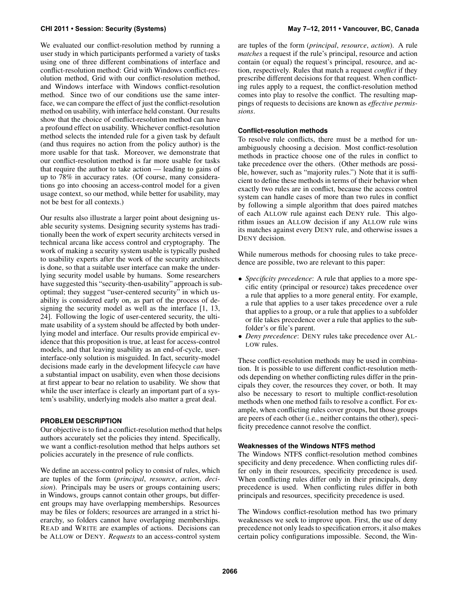We evaluated our conflict-resolution method by running a user study in which participants performed a variety of tasks using one of three different combinations of interface and conflict-resolution method: Grid with Windows conflict-resolution method, Grid with our conflict-resolution method, and Windows interface with Windows conflict-resolution method. Since two of our conditions use the same interface, we can compare the effect of just the conflict-resolution method on usability, with interface held constant. Our results show that the choice of conflict-resolution method can have a profound effect on usability. Whichever conflict-resolution method selects the intended rule for a given task by default (and thus requires no action from the policy author) is the more usable for that task. Moreover, we demonstrate that our conflict-resolution method is far more usable for tasks that require the author to take action — leading to gains of up to 78% in accuracy rates. (Of course, many considerations go into choosing an access-control model for a given usage context, so our method, while better for usability, may not be best for all contexts.)

Our results also illustrate a larger point about designing usable security systems. Designing security systems has traditionally been the work of expert security architects versed in technical arcana like access control and cryptography. The work of making a security system usable is typically pushed to usability experts after the work of the security architects is done, so that a suitable user interface can make the underlying security model usable by humans. Some researchers have suggested this "security-then-usability" approach is suboptimal; they suggest "user-centered security" in which usability is considered early on, as part of the process of designing the security model as well as the interface [1, 13, 24]. Following the logic of user-centered security, the ultimate usability of a system should be affected by both underlying model and interface. Our results provide empirical evidence that this proposition is true, at least for access-control models, and that leaving usability as an end-of-cycle, userinterface-only solution is misguided. In fact, security-model decisions made early in the development lifecycle *can* have a substantial impact on usability, even when those decisions at first appear to bear no relation to usability. We show that while the user interface is clearly an important part of a system's usability, underlying models also matter a great deal.

# **PROBLEM DESCRIPTION**

Our objective is to find a conflict-resolution method that helps authors accurately set the policies they intend. Specifically, we want a conflict-resolution method that helps authors set policies accurately in the presence of rule conflicts.

We define an access-control policy to consist of rules, which are tuples of the form (*principal*, *resource*, *action*, *decision*). Principals may be users or groups containing users; in Windows, groups cannot contain other groups, but different groups may have overlapping memberships. Resources may be files or folders; resources are arranged in a strict hierarchy, so folders cannot have overlapping memberships. READ and WRITE are examples of actions. Decisions can be ALLOW or DENY. *Requests* to an access-control system are tuples of the form (*principal*, *resource*, *action*). A rule *matches* a request if the rule's principal, resource and action contain (or equal) the request's principal, resource, and action, respectively. Rules that match a request *conflict* if they prescribe different decisions for that request. When conflicting rules apply to a request, the conflict-resolution method comes into play to resolve the conflict. The resulting mappings of requests to decisions are known as *effective permissions*.

# **Conflict-resolution methods**

To resolve rule conflicts, there must be a method for unambiguously choosing a decision. Most conflict-resolution methods in practice choose one of the rules in conflict to take precedence over the others. (Other methods are possible, however, such as "majority rules.") Note that it is sufficient to define these methods in terms of their behavior when exactly two rules are in conflict, because the access control system can handle cases of more than two rules in conflict by following a simple algorithm that does paired matches of each ALLOW rule against each DENY rule. This algorithm issues an ALLOW decision if any ALLOW rule wins its matches against every DENY rule, and otherwise issues a DENY decision.

While numerous methods for choosing rules to take precedence are possible, two are relevant to this paper:

- *Specificity precedence*: A rule that applies to a more specific entity (principal or resource) takes precedence over a rule that applies to a more general entity. For example, a rule that applies to a user takes precedence over a rule that applies to a group, or a rule that applies to a subfolder or file takes precedence over a rule that applies to the subfolder's or file's parent.
- *Deny precedence*: DENY rules take precedence over AL-LOW rules.

These conflict-resolution methods may be used in combination. It is possible to use different conflict-resolution methods depending on whether conflicting rules differ in the principals they cover, the resources they cover, or both. It may also be necessary to resort to multiple conflict-resolution methods when one method fails to resolve a conflict. For example, when conflicting rules cover groups, but those groups are peers of each other (i.e., neither contains the other), specificity precedence cannot resolve the conflict.

# **Weaknesses of the Windows NTFS method**

The Windows NTFS conflict-resolution method combines specificity and deny precedence. When conflicting rules differ only in their resources, specificity precedence is used. When conflicting rules differ only in their principals, deny precedence is used. When conflicting rules differ in both principals and resources, specificity precedence is used.

The Windows conflict-resolution method has two primary weaknesses we seek to improve upon. First, the use of deny precedence not only leads to specification errors, it also makes certain policy configurations impossible. Second, the Win-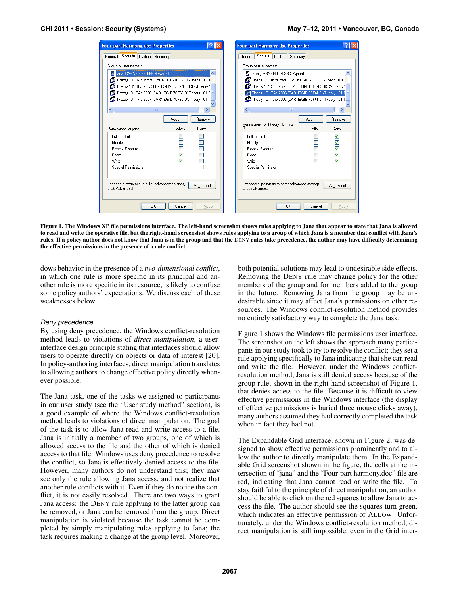

Figure 1. The Windows XP file permissions interface. The left-hand screenshot shows rules applying to Jana that appear to state that Jana is allowed to read and write the operative file, but the right-hand screenshot shows rules applying to a group of which Jana is a member that conflict with Jana's rules. If a policy author does not know that Jana is in the group and that the DENY rules take precedence, the author may have difficulty determining the effective permissions in the presence of a rule conflict.

dows behavior in the presence of a *two-dimensional conflict*, in which one rule is more specific in its principal and another rule is more specific in its resource, is likely to confuse some policy authors' expectations. We discuss each of these weaknesses below.

# *Deny precedence*

By using deny precedence, the Windows conflict-resolution method leads to violations of *direct manipulation*, a userinterface design principle stating that interfaces should allow users to operate directly on objects or data of interest [20]. In policy-authoring interfaces, direct manipulation translates to allowing authors to change effective policy directly whenever possible.

The Jana task, one of the tasks we assigned to participants in our user study (see the "User study method" section), is a good example of where the Windows conflict-resolution method leads to violations of direct manipulation. The goal of the task is to allow Jana read and write access to a file. Jana is initially a member of two groups, one of which is allowed access to the file and the other of which is denied access to that file. Windows uses deny precedence to resolve the conflict, so Jana is effectively denied access to the file. However, many authors do not understand this; they may see only the rule allowing Jana access, and not realize that another rule conflicts with it. Even if they do notice the conflict, it is not easily resolved. There are two ways to grant Jana access: the DENY rule applying to the latter group can be removed, or Jana can be removed from the group. Direct manipulation is violated because the task cannot be completed by simply manipulating rules applying to Jana; the task requires making a change at the group level. Moreover, both potential solutions may lead to undesirable side effects. Removing the DENY rule may change policy for the other members of the group and for members added to the group in the future. Removing Jana from the group may be undesirable since it may affect Jana's permissions on other resources. The Windows conflict-resolution method provides no entirely satisfactory way to complete the Jana task.

Figure 1 shows the Windows file permissions user interface. The screenshot on the left shows the approach many participants in our study took to try to resolve the conflict; they set a rule applying specifically to Jana indicating that she can read and write the file. However, under the Windows conflictresolution method, Jana is still denied access because of the group rule, shown in the right-hand screenshot of Figure 1, that denies access to the file. Because it is difficult to view effective permissions in the Windows interface (the display of effective permissions is buried three mouse clicks away), many authors assumed they had correctly completed the task when in fact they had not.

The Expandable Grid interface, shown in Figure 2, was designed to show effective permissions prominently and to allow the author to directly manipulate them. In the Expandable Grid screenshot shown in the figure, the cells at the intersection of "jana" and the "Four-part harmony.doc" file are red, indicating that Jana cannot read or write the file. To stay faithful to the principle of direct manipulation, an author should be able to click on the red squares to allow Jana to access the file. The author should see the squares turn green, which indicates an effective permission of ALLOW. Unfortunately, under the Windows conflict-resolution method, direct manipulation is still impossible, even in the Grid inter-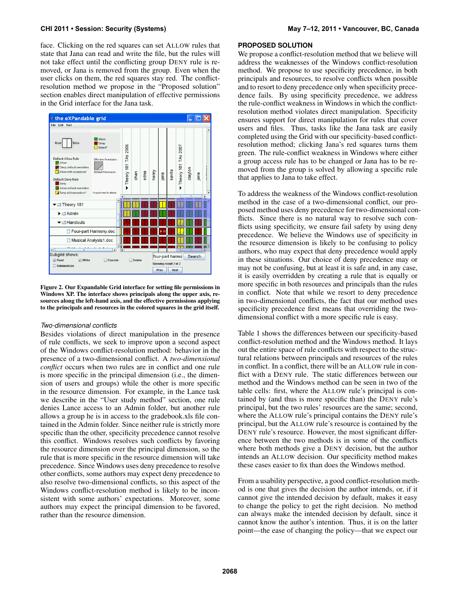# **CHI 2011 • Session: Security (Systems) May 7–12, 2011 • Vancouver, BC, Canada**

face. Clicking on the red squares can set ALLOW rules that state that Jana can read and write the file, but the rules will not take effect until the conflicting group DENY rule is removed, or Jana is removed from the group. Even when the user clicks on them, the red squares stay red. The conflictresolution method we propose in the "Proposed solution" section enables direct manipulation of effective permissions in the Grid interface for the Jana task.



Figure 2. Our Expandable Grid interface for setting file permissions in Windows XP. The interface shows principals along the upper axis, resources along the left-hand axis, and the effective permissions applying to the principals and resources in the colored squares in the grid itself.

#### *Two-dimensional conflicts*

Besides violations of direct manipulation in the presence of rule conflicts, we seek to improve upon a second aspect of the Windows conflict-resolution method: behavior in the presence of a two-dimensional conflict. A *two-dimensional conflict* occurs when two rules are in conflict and one rule is more specific in the principal dimension (i.e., the dimension of users and groups) while the other is more specific in the resource dimension. For example, in the Lance task we describe in the "User study method" section, one rule denies Lance access to an Admin folder, but another rule allows a group he is in access to the gradebook.xls file contained in the Admin folder. Since neither rule is strictly more specific than the other, specificity precedence cannot resolve this conflict. Windows resolves such conflicts by favoring the resource dimension over the principal dimension, so the rule that is more specific in the resource dimension will take precedence. Since Windows uses deny precedence to resolve other conflicts, some authors may expect deny precedence to also resolve two-dimensional conflicts, so this aspect of the Windows conflict-resolution method is likely to be inconsistent with some authors' expectations. Moreover, some authors may expect the principal dimension to be favored, rather than the resource dimension.

# **PROPOSED SOLUTION**

We propose a conflict-resolution method that we believe will address the weaknesses of the Windows conflict-resolution method. We propose to use specificity precedence, in both principals and resources, to resolve conflicts when possible and to resort to deny precedence only when specificity precedence fails. By using specificity precedence, we address the rule-conflict weakness in Windows in which the conflictresolution method violates direct manipulation. Specificity ensures support for direct manipulation for rules that cover users and files. Thus, tasks like the Jana task are easily completed using the Grid with our specificity-based conflictresolution method; clicking Jana's red squares turns them green. The rule-conflict weakness in Windows where either a group access rule has to be changed or Jana has to be removed from the group is solved by allowing a specific rule that applies to Jana to take effect.

To address the weakness of the Windows conflict-resolution method in the case of a two-dimensional conflict, our proposed method uses deny precedence for two-dimensional conflicts. Since there is no natural way to resolve such conflicts using specificity, we ensure fail safety by using deny precedence. We believe the Windows use of specificity in the resource dimension is likely to be confusing to policy authors, who may expect that deny precedence would apply in these situations. Our choice of deny precedence may or may not be confusing, but at least it is safe and, in any case, it is easily overridden by creating a rule that is equally or more specific in both resources and principals than the rules in conflict. Note that while we resort to deny precedence in two-dimensional conflicts, the fact that our method uses specificity precedence first means that overriding the twodimensional conflict with a more specific rule is easy.

Table 1 shows the differences between our specificity-based conflict-resolution method and the Windows method. It lays out the entire space of rule conflicts with respect to the structural relations between principals and resources of the rules in conflict. In a conflict, there will be an ALLOW rule in conflict with a DENY rule. The static differences between our method and the Windows method can be seen in two of the table cells: first, where the ALLOW rule's principal is contained by (and thus is more specific than) the DENY rule's principal, but the two rules' resources are the same; second, where the ALLOW rule's principal contains the DENY rule's principal, but the ALLOW rule's resource is contained by the DENY rule's resource. However, the most significant difference between the two methods is in some of the conflicts where both methods give a DENY decision, but the author intends an ALLOW decision. Our specificity method makes these cases easier to fix than does the Windows method.

From a usability perspective, a good conflict-resolution method is one that gives the decision the author intends, or, if it cannot give the intended decision by default, makes it easy to change the policy to get the right decision. No method can always make the intended decision by default, since it cannot know the author's intention. Thus, it is on the latter point—the ease of changing the policy—that we expect our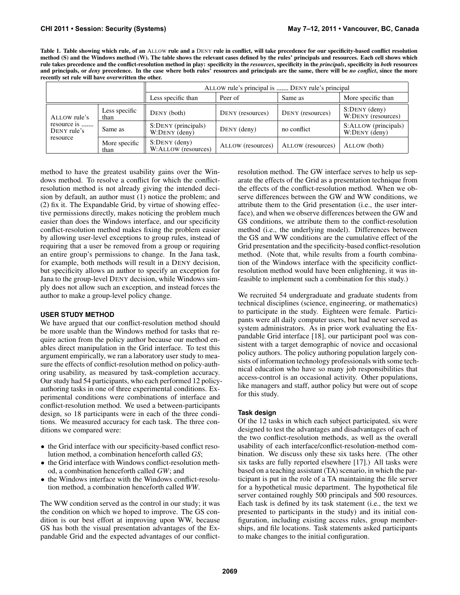Table 1. Table showing which rule, of an ALLOW rule and a DENY rule in conflict, will take precedence for our specificity-based conflict resolution method (S) and the Windows method (W). The table shows the relevant cases defined by the rules' principals and resources. Each cell shows which rule takes precedence and the conflict-resolution method in play: specificity in the *resources*, specificity in the *principals*, specificity in *both* resources and principals, or *deny* precedence. In the case where both rules' resources and principals are the same, there will be *no conflict*, since the more recently set rule will have overwritten the other.

|                                                                        |                       | ALLOW rule's principal is _____ DENY rule's principal |                   |                         |                                       |  |  |
|------------------------------------------------------------------------|-----------------------|-------------------------------------------------------|-------------------|-------------------------|---------------------------------------|--|--|
|                                                                        |                       | Less specific than                                    | Peer of           | Same as                 | More specific than                    |  |  |
| ALLOW rule's<br>$resource$ is $\frac{1}{2}$<br>DENY rule's<br>resource | Less specific<br>than | DENY (both)                                           | DENY (resources)  | <b>DENY</b> (resources) | S:DENY (deny)<br>W:DENY (resources)   |  |  |
|                                                                        | Same as               | S:DENY (principals)<br>W:DENY (deny)                  | DENY (deny)       | no conflict             | S:ALLOW (principals)<br>W:DENY (deny) |  |  |
|                                                                        | More specific<br>than | S:DENY (deny)<br>W:ALLOW (resources)                  | ALLOW (resources) | ALLOW (resources)       | ALLOW (both)                          |  |  |

method to have the greatest usability gains over the Windows method. To resolve a conflict for which the conflictresolution method is not already giving the intended decision by default, an author must (1) notice the problem; and (2) fix it. The Expandable Grid, by virtue of showing effective permissions directly, makes noticing the problem much easier than does the Windows interface, and our specificity conflict-resolution method makes fixing the problem easier by allowing user-level exceptions to group rules, instead of requiring that a user be removed from a group or requiring an entire group's permissions to change. In the Jana task, for example, both methods will result in a DENY decision, but specificity allows an author to specify an exception for Jana to the group-level DENY decision, while Windows simply does not allow such an exception, and instead forces the author to make a group-level policy change.

# **USER STUDY METHOD**

We have argued that our conflict-resolution method should be more usable than the Windows method for tasks that require action from the policy author because our method enables direct manipulation in the Grid interface. To test this argument empirically, we ran a laboratory user study to measure the effects of conflict-resolution method on policy-authoring usability, as measured by task-completion accuracy. Our study had 54 participants, who each performed 12 policyauthoring tasks in one of three experimental conditions. Experimental conditions were combinations of interface and conflict-resolution method. We used a between-participants design, so 18 participants were in each of the three conditions. We measured accuracy for each task. The three conditions we compared were:

- the Grid interface with our specificity-based conflict resolution method, a combination henceforth called *GS*;
- the Grid interface with Windows conflict-resolution method, a combination henceforth called *GW*; and
- the Windows interface with the Windows conflict-resolution method, a combination henceforth called *WW*.

The WW condition served as the control in our study; it was the condition on which we hoped to improve. The GS condition is our best effort at improving upon WW, because GS has both the visual presentation advantages of the Expandable Grid and the expected advantages of our conflictresolution method. The GW interface serves to help us separate the effects of the Grid as a presentation technique from the effects of the conflict-resolution method. When we observe differences between the GW and WW conditions, we attribute them to the Grid presentation (i.e., the user interface), and when we observe differences between the GW and GS conditions, we attribute them to the conflict-resolution method (i.e., the underlying model). Differences between the GS and WW conditions are the cumulative effect of the Grid presentation and the specificity-based conflict-resolution method. (Note that, while results from a fourth combination of the Windows interface with the specificity conflictresolution method would have been enlightening, it was infeasible to implement such a combination for this study.)

We recruited 54 undergraduate and graduate students from technical disciplines (science, engineering, or mathematics) to participate in the study. Eighteen were female. Participants were all daily computer users, but had never served as system administrators. As in prior work evaluating the Expandable Grid interface [18], our participant pool was consistent with a target demographic of novice and occasional policy authors. The policy authoring population largely consists of information technology professionals with some technical education who have so many job responsibilities that access-control is an occasional activity. Other populations, like managers and staff, author policy but were out of scope for this study.

# **Task design**

Of the 12 tasks in which each subject participated, six were designed to test the advantages and disadvantages of each of the two conflict-resolution methods, as well as the overall usability of each interface/conflict-resolution-method combination. We discuss only these six tasks here. (The other six tasks are fully reported elsewhere [17].) All tasks were based on a teaching assistant (TA) scenario, in which the participant is put in the role of a TA maintaining the file server for a hypothetical music department. The hypothetical file server contained roughly 500 principals and 500 resources. Each task is defined by its task statement (i.e., the text we presented to participants in the study) and its initial configuration, including existing access rules, group memberships, and file locations. Task statements asked participants to make changes to the initial configuration.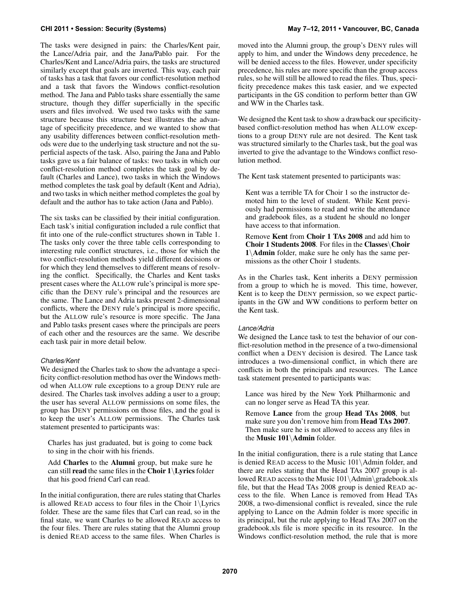The tasks were designed in pairs: the Charles/Kent pair, the Lance/Adria pair, and the Jana/Pablo pair. For the Charles/Kent and Lance/Adria pairs, the tasks are structured similarly except that goals are inverted. This way, each pair of tasks has a task that favors our conflict-resolution method and a task that favors the Windows conflict-resolution method. The Jana and Pablo tasks share essentially the same structure, though they differ superficially in the specific users and files involved. We used two tasks with the same structure because this structure best illustrates the advantage of specificity precedence, and we wanted to show that any usability differences between conflict-resolution methods were due to the underlying task structure and not the superficial aspects of the task. Also, pairing the Jana and Pablo tasks gave us a fair balance of tasks: two tasks in which our conflict-resolution method completes the task goal by default (Charles and Lance), two tasks in which the Windows method completes the task goal by default (Kent and Adria), and two tasks in which neither method completes the goal by default and the author has to take action (Jana and Pablo).

The six tasks can be classified by their initial configuration. Each task's initial configuration included a rule conflict that fit into one of the rule-conflict structures shown in Table 1. The tasks only cover the three table cells corresponding to interesting rule conflict structures, i.e., those for which the two conflict-resolution methods yield different decisions or for which they lend themselves to different means of resolving the conflict. Specifically, the Charles and Kent tasks present cases where the ALLOW rule's principal is more specific than the DENY rule's principal and the resources are the same. The Lance and Adria tasks present 2-dimensional conflicts, where the DENY rule's principal is more specific, but the ALLOW rule's resource is more specific. The Jana and Pablo tasks present cases where the principals are peers of each other and the resources are the same. We describe each task pair in more detail below.

# *Charles/Kent*

We designed the Charles task to show the advantage a specificity conflict-resolution method has over the Windows method when ALLOW rule exceptions to a group DENY rule are desired. The Charles task involves adding a user to a group; the user has several ALLOW permissions on some files, the group has DENY permissions on those files, and the goal is to keep the user's ALLOW permissions. The Charles task statement presented to participants was:

Charles has just graduated, but is going to come back to sing in the choir with his friends.

Add Charles to the Alumni group, but make sure he can still read the same files in the Choir  $1\L{y$ rics folder that his good friend Carl can read.

In the initial configuration, there are rules stating that Charles is allowed READ access to four files in the Choir  $1\angle$ Lyrics folder. These are the same files that Carl can read, so in the final state, we want Charles to be allowed READ access to the four files. There are rules stating that the Alumni group is denied READ access to the same files. When Charles is moved into the Alumni group, the group's DENY rules will apply to him, and under the Windows deny precedence, he will be denied access to the files. However, under specificity precedence, his rules are more specific than the group access rules, so he will still be allowed to read the files. Thus, specificity precedence makes this task easier, and we expected participants in the GS condition to perform better than GW and WW in the Charles task.

We designed the Kent task to show a drawback our specificitybased conflict-resolution method has when ALLOW exceptions to a group DENY rule are not desired. The Kent task was structured similarly to the Charles task, but the goal was inverted to give the advantage to the Windows conflict resolution method.

The Kent task statement presented to participants was:

Kent was a terrible TA for Choir 1 so the instructor demoted him to the level of student. While Kent previously had permissions to read and write the attendance and gradebook files, as a student he should no longer have access to that information.

Remove Kent from Choir 1 TAs 2008 and add him to Choir 1 Students 2008. For files in the Classes\Choir 1\Admin folder, make sure he only has the same permissions as the other Choir 1 students.

As in the Charles task, Kent inherits a DENY permission from a group to which he is moved. This time, however, Kent is to keep the DENY permission, so we expect participants in the GW and WW conditions to perform better on the Kent task.

# *Lance/Adria*

We designed the Lance task to test the behavior of our conflict-resolution method in the presence of a two-dimensional conflict when a DENY decision is desired. The Lance task introduces a two-dimensional conflict, in which there are conflicts in both the principals and resources. The Lance task statement presented to participants was:

Lance was hired by the New York Philharmonic and can no longer serve as Head TA this year.

Remove Lance from the group Head TAs 2008, but make sure you don't remove him from Head TAs 2007. Then make sure he is not allowed to access any files in the Music 101\Admin folder.

In the initial configuration, there is a rule stating that Lance is denied READ access to the Music 101\Admin folder, and there are rules stating that the Head TAs 2007 group is allowed READ access to the Music 101\Admin\gradebook.xls file, but that the Head TAs 2008 group is denied READ access to the file. When Lance is removed from Head TAs 2008, a two-dimensional conflict is revealed, since the rule applying to Lance on the Admin folder is more specific in its principal, but the rule applying to Head TAs 2007 on the gradebook.xls file is more specific in its resource. In the Windows conflict-resolution method, the rule that is more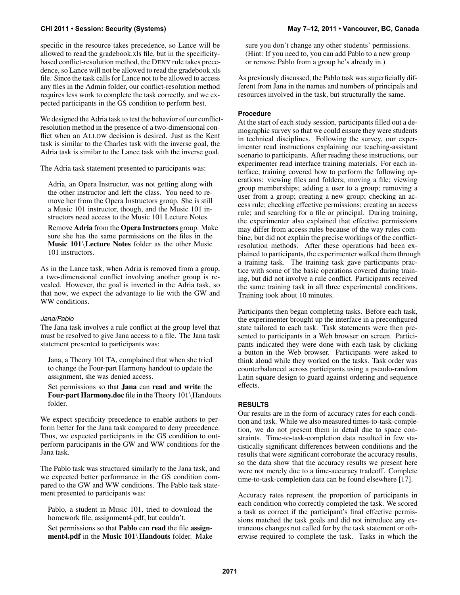specific in the resource takes precedence, so Lance will be allowed to read the gradebook.xls file, but in the specificitybased conflict-resolution method, the DENY rule takes precedence, so Lance will not be allowed to read the gradebook.xls file. Since the task calls for Lance not to be allowed to access any files in the Admin folder, our conflict-resolution method requires less work to complete the task correctly, and we expected participants in the GS condition to perform best.

We designed the Adria task to test the behavior of our conflictresolution method in the presence of a two-dimensional conflict when an ALLOW decision is desired. Just as the Kent task is similar to the Charles task with the inverse goal, the Adria task is similar to the Lance task with the inverse goal.

The Adria task statement presented to participants was:

Adria, an Opera Instructor, was not getting along with the other instructor and left the class. You need to remove her from the Opera Instructors group. She is still a Music 101 instructor, though, and the Music 101 instructors need access to the Music 101 Lecture Notes.

Remove Adria from the Opera Instructors group. Make sure she has the same permissions on the files in the Music 101\Lecture Notes folder as the other Music 101 instructors.

As in the Lance task, when Adria is removed from a group, a two-dimensional conflict involving another group is revealed. However, the goal is inverted in the Adria task, so that now, we expect the advantage to lie with the GW and WW conditions.

# *Jana/Pablo*

The Jana task involves a rule conflict at the group level that must be resolved to give Jana access to a file. The Jana task statement presented to participants was:

Jana, a Theory 101 TA, complained that when she tried to change the Four-part Harmony handout to update the assignment, she was denied access.

Set permissions so that Jana can read and write the Four-part Harmony.doc file in the Theory 101\Handouts folder.

We expect specificity precedence to enable authors to perform better for the Jana task compared to deny precedence. Thus, we expected participants in the GS condition to outperform participants in the GW and WW conditions for the Jana task.

The Pablo task was structured similarly to the Jana task, and we expected better performance in the GS condition compared to the GW and WW conditions. The Pablo task statement presented to participants was:

Pablo, a student in Music 101, tried to download the homework file, assignment4.pdf, but couldn't.

Set permissions so that Pablo can read the file assignment4.pdf in the Music 101\Handouts folder. Make sure you don't change any other students' permissions. (Hint: If you need to, you can add Pablo to a new group or remove Pablo from a group he's already in.)

As previously discussed, the Pablo task was superficially different from Jana in the names and numbers of principals and resources involved in the task, but structurally the same.

# **Procedure**

At the start of each study session, participants filled out a demographic survey so that we could ensure they were students in technical disciplines. Following the survey, our experimenter read instructions explaining our teaching-assistant scenario to participants. After reading these instructions, our experimenter read interface training materials. For each interface, training covered how to perform the following operations: viewing files and folders; moving a file; viewing group memberships; adding a user to a group; removing a user from a group; creating a new group; checking an access rule; checking effective permissions; creating an access rule; and searching for a file or principal. During training, the experimenter also explained that effective permissions may differ from access rules because of the way rules combine, but did not explain the precise workings of the conflictresolution methods. After these operations had been explained to participants, the experimenter walked them through a training task. The training task gave participants practice with some of the basic operations covered during training, but did not involve a rule conflict. Participants received the same training task in all three experimental conditions. Training took about 10 minutes.

Participants then began completing tasks. Before each task, the experimenter brought up the interface in a preconfigured state tailored to each task. Task statements were then presented to participants in a Web browser on screen. Participants indicated they were done with each task by clicking a button in the Web browser. Participants were asked to think aloud while they worked on the tasks. Task order was counterbalanced across participants using a pseudo-random Latin square design to guard against ordering and sequence effects.

# **RESULTS**

Our results are in the form of accuracy rates for each condition and task. While we also measured times-to-task-completion, we do not present them in detail due to space constraints. Time-to-task-completion data resulted in few statistically significant differences between conditions and the results that were significant corroborate the accuracy results, so the data show that the accuracy results we present here were not merely due to a time-accuracy tradeoff. Complete time-to-task-completion data can be found elsewhere [17].

Accuracy rates represent the proportion of participants in each condition who correctly completed the task. We scored a task as correct if the participant's final effective permissions matched the task goals and did not introduce any extraneous changes not called for by the task statement or otherwise required to complete the task. Tasks in which the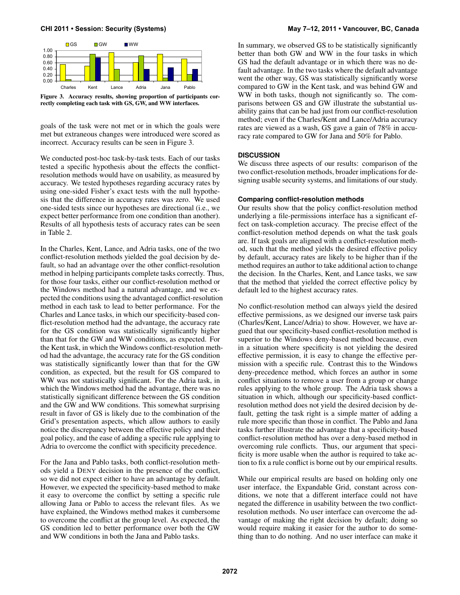# **CHI 2011 • Session: Security (Systems) May 7–12, 2011 • Vancouver, BC, Canada**



Figure 3. Accuracy results, showing proportion of participants correctly completing each task with GS, GW, and WW interfaces.

goals of the task were not met or in which the goals were met but extraneous changes were introduced were scored as incorrect. Accuracy results can be seen in Figure 3.

We conducted post-hoc task-by-task tests. Each of our tasks tested a specific hypothesis about the effects the conflictresolution methods would have on usability, as measured by accuracy. We tested hypotheses regarding accuracy rates by using one-sided Fisher's exact tests with the null hypothesis that the difference in accuracy rates was zero. We used one-sided tests since our hypotheses are directional (i.e., we expect better performance from one condition than another). Results of all hypothesis tests of accuracy rates can be seen in Table 2.

In the Charles, Kent, Lance, and Adria tasks, one of the two conflict-resolution methods yielded the goal decision by default, so had an advantage over the other conflict-resolution method in helping participants complete tasks correctly. Thus, for those four tasks, either our conflict-resolution method or the Windows method had a natural advantage, and we expected the conditions using the advantaged conflict-resolution method in each task to lead to better performance. For the Charles and Lance tasks, in which our specificity-based conflict-resolution method had the advantage, the accuracy rate for the GS condition was statistically significantly higher than that for the GW and WW conditions, as expected. For the Kent task, in which the Windows conflict-resolution method had the advantage, the accuracy rate for the GS condition was statistically significantly lower than that for the GW condition, as expected, but the result for GS compared to WW was not statistically significant. For the Adria task, in which the Windows method had the advantage, there was no statistically significant difference between the GS condition and the GW and WW conditions. This somewhat surprising result in favor of GS is likely due to the combination of the Grid's presentation aspects, which allow authors to easily notice the discrepancy between the effective policy and their goal policy, and the ease of adding a specific rule applying to Adria to overcome the conflict with specificity precedence.

For the Jana and Pablo tasks, both conflict-resolution methods yield a DENY decision in the presence of the conflict, so we did not expect either to have an advantage by default. However, we expected the specificity-based method to make it easy to overcome the conflict by setting a specific rule allowing Jana or Pablo to access the relevant files. As we have explained, the Windows method makes it cumbersome to overcome the conflict at the group level. As expected, the GS condition led to better performance over both the GW and WW conditions in both the Jana and Pablo tasks.

In summary, we observed GS to be statistically significantly better than both GW and WW in the four tasks in which GS had the default advantage or in which there was no default advantage. In the two tasks where the default advantage went the other way, GS was statistically significantly worse compared to GW in the Kent task, and was behind GW and WW in both tasks, though not significantly so. The comparisons between GS and GW illustrate the substantial usability gains that can be had just from our conflict-resolution method; even if the Charles/Kent and Lance/Adria accuracy rates are viewed as a wash, GS gave a gain of 78% in accuracy rate compared to GW for Jana and 50% for Pablo.

# **DISCUSSION**

We discuss three aspects of our results: comparison of the two conflict-resolution methods, broader implications for designing usable security systems, and limitations of our study.

#### **Comparing conflict-resolution methods**

Our results show that the policy conflict-resolution method underlying a file-permissions interface has a significant effect on task-completion accuracy. The precise effect of the conflict-resolution method depends on what the task goals are. If task goals are aligned with a conflict-resolution method, such that the method yields the desired effective policy by default, accuracy rates are likely to be higher than if the method requires an author to take additional action to change the decision. In the Charles, Kent, and Lance tasks, we saw that the method that yielded the correct effective policy by default led to the highest accuracy rates.

No conflict-resolution method can always yield the desired effective permissions, as we designed our inverse task pairs (Charles/Kent, Lance/Adria) to show. However, we have argued that our specificity-based conflict-resolution method is superior to the Windows deny-based method because, even in a situation where specificity is not yielding the desired effective permission, it is easy to change the effective permission with a specific rule. Contrast this to the Windows deny-precedence method, which forces an author in some conflict situations to remove a user from a group or change rules applying to the whole group. The Adria task shows a situation in which, although our specificity-based conflictresolution method does not yield the desired decision by default, getting the task right is a simple matter of adding a rule more specific than those in conflict. The Pablo and Jana tasks further illustrate the advantage that a specificity-based conflict-resolution method has over a deny-based method in overcoming rule conflicts. Thus, our argument that specificity is more usable when the author is required to take action to fix a rule conflict is borne out by our empirical results.

While our empirical results are based on holding only one user interface, the Expandable Grid, constant across conditions, we note that a different interface could not have negated the difference in usability between the two conflictresolution methods. No user interface can overcome the advantage of making the right decision by default; doing so would require making it easier for the author to do something than to do nothing. And no user interface can make it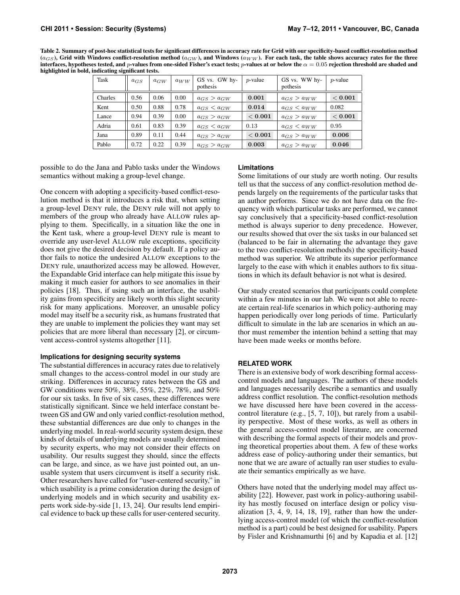Table 2. Summary of post-hoc statistical tests for significant differences in accuracy rate for Grid with our specificity-based conflict-resolution method  $(a_{GS})$ , Grid with Windows conflict-resolution method  $(a_{GW})$ , and Windows  $(a_{WW})$ . For each task, the table shows accuracy rates for the three interfaces, hypotheses tested, and p-values from one-sided Fisher's exact tests; p-values at or below the  $\alpha = 0.05$  rejection threshold are shaded and highlighted in bold, indicating significant tests.

| Task    | $a_{GS}$ | $a_{GW}$ | $a_{WW}$ | GS vs. GW hy-<br>pothesis | $p$ -value | GS vs. WW hy-<br>pothesis | $p$ -value |
|---------|----------|----------|----------|---------------------------|------------|---------------------------|------------|
| Charles | 0.56     | 0.06     | 0.00     | $a_{GS} > a_{GW}$         | 0.001      | $a_{GS} > a_{WW}$         | < 0.001    |
| Kent    | 0.50     | 0.88     | 0.78     | $a_{GS} < a_{GW}$         | 0.014      | $a_{GS} < a_{WW}$         | 0.082      |
| Lance   | 0.94     | 0.39     | 0.00     | $a_{GS} > a_{GW}$         | < 0.001    | $a_{GS} > a_{WW}$         | < 0.001    |
| Adria   | 0.61     | 0.83     | 0.39     | $a_{GS} < a_{GW}$         | 0.13       | $a_{GS}$ $\lt$ $a_{WW}$   | 0.95       |
| Jana    | 0.89     | 0.11     | 0.44     | $a_{GS} > a_{GW}$         | < 0.001    | $a_{GS} > a_{WW}$         | 0.006      |
| Pablo   | 0.72     | 0.22     | 0.39     | $a_{GS} > a_{GW}$         | 0.003      | $a_{GS} > a_{WW}$         | 0.046      |

possible to do the Jana and Pablo tasks under the Windows semantics without making a group-level change.

One concern with adopting a specificity-based conflict-resolution method is that it introduces a risk that, when setting a group-level DENY rule, the DENY rule will not apply to members of the group who already have ALLOW rules applying to them. Specifically, in a situation like the one in the Kent task, where a group-level DENY rule is meant to override any user-level ALLOW rule exceptions, specificity does not give the desired decision by default. If a policy author fails to notice the undesired ALLOW exceptions to the DENY rule, unauthorized access may be allowed. However, the Expandable Grid interface can help mitigate this issue by making it much easier for authors to see anomalies in their policies [18]. Thus, if using such an interface, the usability gains from specificity are likely worth this slight security risk for many applications. Moreover, an unusable policy model may itself be a security risk, as humans frustrated that they are unable to implement the policies they want may set policies that are more liberal than necessary [2], or circumvent access-control systems altogether [11].

#### **Implications for designing security systems**

The substantial differences in accuracy rates due to relatively small changes to the access-control model in our study are striking. Differences in accuracy rates between the GS and GW conditions were 50%, 38%, 55%, 22%, 78%, and 50% for our six tasks. In five of six cases, these differences were statistically significant. Since we held interface constant between GS and GW and only varied conflict-resolution method, these substantial differences are due only to changes in the underlying model. In real-world security system design, these kinds of details of underlying models are usually determined by security experts, who may not consider their effects on usability. Our results suggest they should, since the effects can be large, and since, as we have just pointed out, an unusable system that users circumvent is itself a security risk. Other researchers have called for "user-centered security," in which usability is a prime consideration during the design of underlying models and in which security and usability experts work side-by-side [1, 13, 24]. Our results lend empirical evidence to back up these calls for user-centered security.

# **Limitations**

Some limitations of our study are worth noting. Our results tell us that the success of any conflict-resolution method depends largely on the requirements of the particular tasks that an author performs. Since we do not have data on the frequency with which particular tasks are performed, we cannot say conclusively that a specificity-based conflict-resolution method is always superior to deny precedence. However, our results showed that over the six tasks in our balanced set (balanced to be fair in alternating the advantage they gave to the two conflict-resolution methods) the specificity-based method was superior. We attribute its superior performance largely to the ease with which it enables authors to fix situations in which its default behavior is not what is desired.

Our study created scenarios that participants could complete within a few minutes in our lab. We were not able to recreate certain real-life scenarios in which policy-authoring may happen periodically over long periods of time. Particularly difficult to simulate in the lab are scenarios in which an author must remember the intention behind a setting that may have been made weeks or months before.

# **RELATED WORK**

There is an extensive body of work describing formal accesscontrol models and languages. The authors of these models and languages necessarily describe a semantics and usually address conflict resolution. The conflict-resolution methods we have discussed here have been covered in the accesscontrol literature (e.g., [5, 7, 10]), but rarely from a usability perspective. Most of these works, as well as others in the general access-control model literature, are concerned with describing the formal aspects of their models and proving theoretical properties about them. A few of these works address ease of policy-authoring under their semantics, but none that we are aware of actually ran user studies to evaluate their semantics empirically as we have.

Others have noted that the underlying model may affect usability [22]. However, past work in policy-authoring usability has mostly focused on interface design or policy visualization [3, 4, 9, 14, 18, 19], rather than how the underlying access-control model (of which the conflict-resolution method is a part) could be best designed for usability. Papers by Fisler and Krishnamurthi [6] and by Kapadia et al. [12]